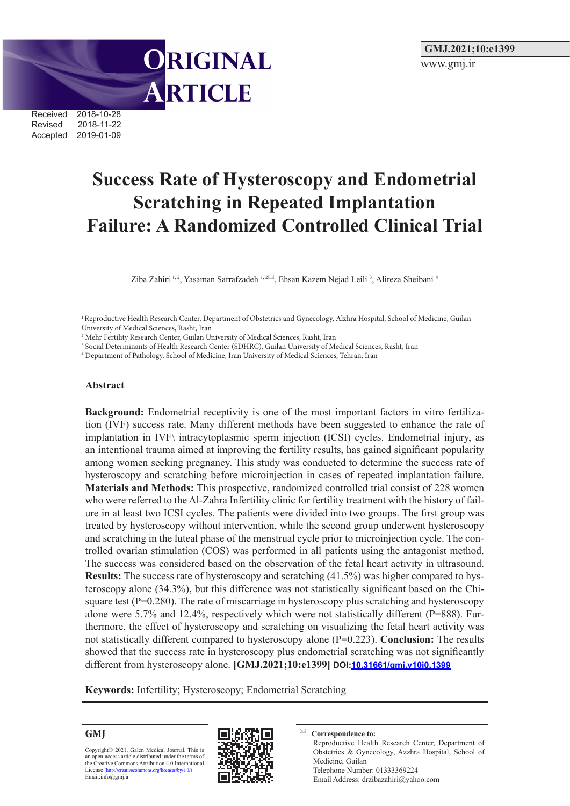**ORIGINAL** ARTICLE

Received 2018-10-28 Revised 2018-11-22<br>Accepted 2019-01-09 2019-01-09

# **Success Rate of Hysteroscopy and Endometrial Scratching in Repeated Implantation Failure: A Randomized Controlled Clinical Trial**

Ziba Zahiri 1,2, Yasaman Sarrafzadeh 1,2⊠, Ehsan Kazem Nejad Leili <sup>3</sup>, Alireza Sheibani <sup>4</sup>

1 Reproductive Health Research Center, Department of Obstetrics and Gynecology, Alzhra Hospital, School of Medicine, Guilan University of Medical Sciences, Rasht, Iran

<sup>2</sup> Mehr Fertility Research Center, Guilan University of Medical Sciences, Rasht, Iran

3 Social Determinants of Health Research Center (SDHRC), Guilan University of Medical Sciences, Rasht, Iran

4 Department of Pathology, School of Medicine, Iran University of Medical Sciences, Tehran, Iran

#### **Abstract**

**Background:** Endometrial receptivity is one of the most important factors in vitro fertilization (IVF) success rate. Many different methods have been suggested to enhance the rate of implantation in IVF\ intracytoplasmic sperm injection (ICSI) cycles. Endometrial injury, as an intentional trauma aimed at improving the fertility results, has gained significant popularity among women seeking pregnancy. This study was conducted to determine the success rate of hysteroscopy and scratching before microinjection in cases of repeated implantation failure. **Materials and Methods:** This prospective, randomized controlled trial consist of 228 women who were referred to the Al-Zahra Infertility clinic for fertility treatment with the history of failure in at least two ICSI cycles. The patients were divided into two groups. The first group was treated by hysteroscopy without intervention, while the second group underwent hysteroscopy and scratching in the luteal phase of the menstrual cycle prior to microinjection cycle. The controlled ovarian stimulation (COS) was performed in all patients using the antagonist method. The success was considered based on the observation of the fetal heart activity in ultrasound. **Results:** The success rate of hysteroscopy and scratching  $(41.5%)$  was higher compared to hysteroscopy alone (34.3%), but this difference was not statistically significant based on the Chisquare test  $(P=0.280)$ . The rate of miscarriage in hysteroscopy plus scratching and hysteroscopy alone were 5.7% and 12.4%, respectively which were not statistically different (P=888). Furthermore, the effect of hysteroscopy and scratching on visualizing the fetal heart activity was not statistically different compared to hysteroscopy alone (P=0.223). **Conclusion:** The results showed that the success rate in hysteroscopy plus endometrial scratching was not significantly different from hysteroscopy alone. **[GMJ.2021;10:e1399] DOI:[10.31661/gmj.v10i0.13](https://www.gmj.ir/index.php/gmj/article/view/1399)99**

**Keywords:** Infertility; Hysteroscopy; Endometrial Scratching

**GMJ**

Copyright© 2021, Galen Medical Journal. This is an open-access article distributed under the terms of the Creative Commons Attribution 4.0 International License (<http://creativecommons.org/licenses/by/4.0/>)<br>Email:info@gmj.ir



**Correspondence to:** Reproductive Health Research Center, Department of Obstetrics & Gynecology, Azzhra Hospital, School of Medicine, Guilan Telephone Number: 01333369224 Email Address: drzibazahiri@yahoo.com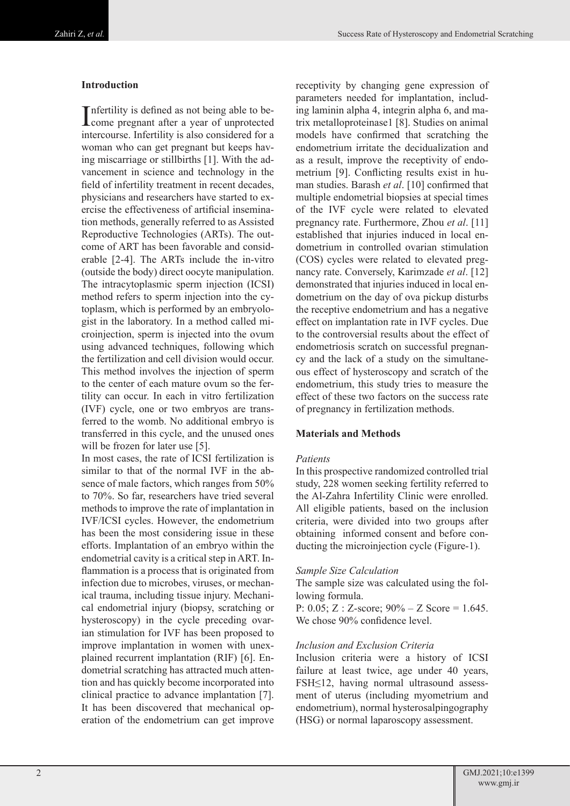## **Introduction**

Infertility is defined as not being able to be-<br>come pregnant after a year of unprotected nfertility is defined as not being able to beintercourse. Infertility is also considered for a woman who can get pregnant but keeps having miscarriage or stillbirths [1]. With the advancement in science and technology in the field of infertility treatment in recent decades, physicians and researchers have started to exercise the effectiveness of artificial insemination methods, generally referred to as Assisted Reproductive Technologies (ARTs). The outcome of ART has been favorable and considerable [2-4]. The ARTs include the in-vitro (outside the body) direct oocyte manipulation. The intracytoplasmic sperm injection (ICSI) method refers to sperm injection into the cytoplasm, which is performed by an embryologist in the laboratory. In a method called microinjection, sperm is injected into the ovum using advanced techniques, following which the fertilization and cell division would occur. This method involves the injection of sperm to the center of each mature ovum so the fertility can occur. In each in vitro fertilization (IVF) cycle, one or two embryos are transferred to the womb. No additional embryo is transferred in this cycle, and the unused ones will be frozen for later use [5].

In most cases, the rate of ICSI fertilization is similar to that of the normal IVF in the absence of male factors, which ranges from 50% to 70%. So far, researchers have tried several methods to improve the rate of implantation in IVF/ICSI cycles. However, the endometrium has been the most considering issue in these efforts. Implantation of an embryo within the endometrial cavity is a critical step in ART. Inflammation is a process that is originated from infection due to microbes, viruses, or mechanical trauma, including tissue injury. Mechanical endometrial injury (biopsy, scratching or hysteroscopy) in the cycle preceding ovarian stimulation for IVF has been proposed to improve implantation in women with unexplained recurrent implantation (RIF) [6]. Endometrial scratching has attracted much attention and has quickly become incorporated into clinical practice to advance implantation [7]. It has been discovered that mechanical operation of the endometrium can get improve

receptivity by changing gene expression of parameters needed for implantation, including laminin alpha 4, integrin alpha 6, and matrix metalloproteinase1 [8]. Studies on animal models have confirmed that scratching the endometrium irritate the decidualization and as a result, improve the receptivity of endometrium [9]. Conflicting results exist in human studies. Barash *et al*. [10] confirmed that multiple endometrial biopsies at special times of the IVF cycle were related to elevated pregnancy rate. Furthermore, Zhou *et al*. [11] established that injuries induced in local endometrium in controlled ovarian stimulation (COS) cycles were related to elevated pregnancy rate. Conversely, Karimzade *et al*. [12] demonstrated that injuries induced in local endometrium on the day of ova pickup disturbs the receptive endometrium and has a negative effect on implantation rate in IVF cycles. Due to the controversial results about the effect of endometriosis scratch on successful pregnancy and the lack of a study on the simultaneous effect of hysteroscopy and scratch of the endometrium, this study tries to measure the effect of these two factors on the success rate of pregnancy in fertilization methods.

### **Materials and Methods**

### *Patients*

In this prospective randomized controlled trial study, 228 women seeking fertility referred to the Al-Zahra Infertility Clinic were enrolled. All eligible patients, based on the inclusion criteria, were divided into two groups after obtaining informed consent and before conducting the microinjection cycle (Figure-1).

### *Sample Size Calculation*

The sample size was calculated using the following formula.

P: 0.05; Z : Z-score;  $90\% - Z$  Score = 1.645. We chose 90% confidence level.

## *Inclusion and Exclusion Criteria*

Inclusion criteria were a history of ICSI failure at least twice, age under 40 years, FSH≤12, having normal ultrasound assessment of uterus (including myometrium and endometrium), normal hysterosalpingography (HSG) or normal laparoscopy assessment.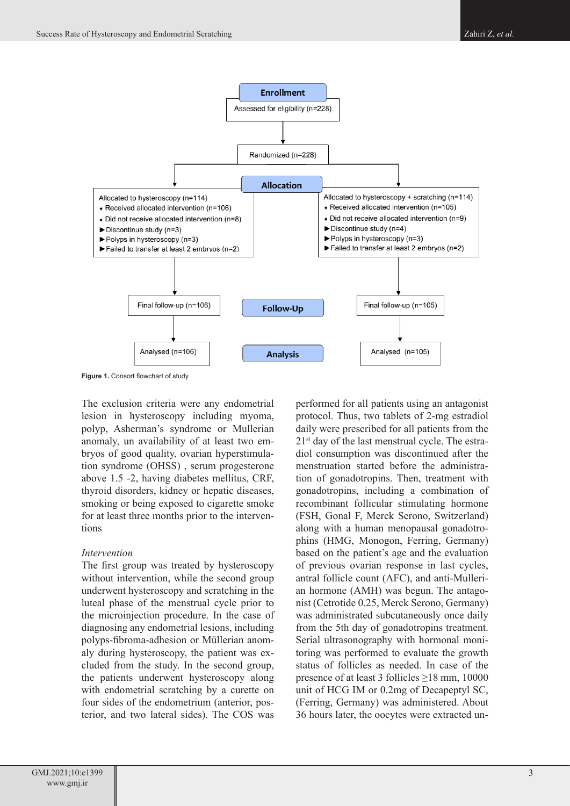

**Figure 1.** Consort flowchart of study

The exclusion criteria were any endometrial lesion in hysteroscopy including myoma, polyp, Asherman's syndrome or Mullerian anomaly, un availability of at least two embryos of good quality, ovarian hyperstimulation syndrome (OHSS) , serum progesterone above 1.5 -2, having diabetes mellitus, CRF, thyroid disorders, kidney or hepatic diseases, smoking or being exposed to cigarette smoke for at least three months prior to the interventions

### *Intervention*

The first group was treated by hysteroscopy without intervention, while the second group underwent hysteroscopy and scratching in the luteal phase of the menstrual cycle prior to the microinjection procedure. In the case of diagnosing any endometrial lesions, including polyps-fibroma-adhesion or Müllerian anomaly during hysteroscopy, the patient was excluded from the study. In the second group, the patients underwent hysteroscopy along with endometrial scratching by a curette on four sides of the endometrium (anterior, posterior, and two lateral sides). The COS was

performed for all patients using an antagonist protocol. Thus, two tablets of 2-mg estradiol daily were prescribed for all patients from the 21st day of the last menstrual cycle. The estradiol consumption was discontinued after the menstruation started before the administration of gonadotropins. Then, treatment with gonadotropins, including a combination of recombinant follicular stimulating hormone (FSH, Gonal F, Merck Serono, Switzerland) along with a human menopausal gonadotrophins (HMG, Monogon, Ferring, Germany) based on the patient's age and the evaluation of previous ovarian response in last cycles, antral follicle count (AFC), and anti-Mullerian hormone (AMH) was begun. The antagonist (Cetrotide 0.25, Merck Serono, Germany) was administrated subcutaneously once daily from the 5th day of gonadotropins treatment. Serial ultrasonography with hormonal monitoring was performed to evaluate the growth status of follicles as needed. In case of the presence of at least 3 follicles ≥18 mm, 10000 unit of HCG IM or 0.2mg of Decapeptyl SC, (Ferring, Germany) was administered. About 36 hours later, the oocytes were extracted un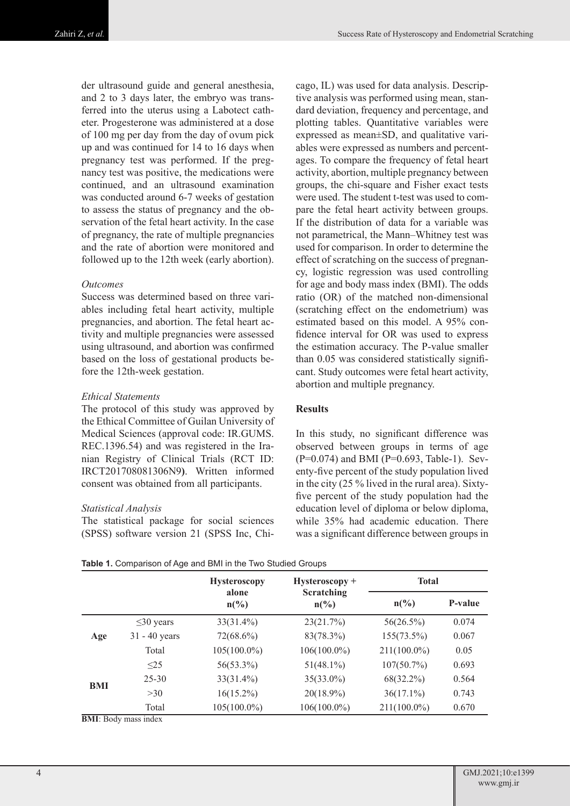der ultrasound guide and general anesthesia, and 2 to 3 days later, the embryo was transferred into the uterus using a Labotect catheter. Progesterone was administered at a dose of 100 mg per day from the day of ovum pick up and was continued for 14 to 16 days when pregnancy test was performed. If the pregnancy test was positive, the medications were continued, and an ultrasound examination was conducted around 6-7 weeks of gestation to assess the status of pregnancy and the observation of the fetal heart activity. In the case of pregnancy, the rate of multiple pregnancies and the rate of abortion were monitored and followed up to the 12th week (early abortion).

### *Outcomes*

Success was determined based on three variables including fetal heart activity, multiple pregnancies, and abortion. The fetal heart activity and multiple pregnancies were assessed using ultrasound, and abortion was confirmed based on the loss of gestational products before the 12th-week gestation.

### *Ethical Statements*

The protocol of this study was approved by the Ethical Committee of Guilan University of Medical Sciences (approval code: IR.GUMS. REC.1396.54) and was registered in the Iranian Registry of Clinical Trials (RCT ID: IRCT201708081306N9**)**. Written informed consent was obtained from all participants.

## *Statistical Analysis*

The statistical package for social sciences (SPSS) software version 21 (SPSS Inc, Chi-

cago, IL) was used for data analysis. Descriptive analysis was performed using mean, standard deviation, frequency and percentage, and plotting tables. Quantitative variables were expressed as mean±SD, and qualitative variables were expressed as numbers and percentages. To compare the frequency of fetal heart activity, abortion, multiple pregnancy between groups, the chi-square and Fisher exact tests were used. The student t-test was used to compare the fetal heart activity between groups. If the distribution of data for a variable was not parametrical, the Mann–Whitney test was used for comparison. In order to determine the effect of scratching on the success of pregnancy, logistic regression was used controlling for age and body mass index (BMI). The odds ratio (OR) of the matched non-dimensional (scratching effect on the endometrium) was estimated based on this model. A 95% confidence interval for OR was used to express the estimation accuracy. The P-value smaller than 0.05 was considered statistically significant. Study outcomes were fetal heart activity, abortion and multiple pregnancy.

## **Results**

In this study, no significant difference was observed between groups in terms of age (P=0.074) and BMI (P=0.693, Table-1). Seventy-five percent of the study population lived in the city (25 % lived in the rural area). Sixtyfive percent of the study population had the education level of diploma or below diploma, while 35% had academic education. There was a significant difference between groups in

| Table 1. Comparison of Age and BMI in the Two Studied Groups |  |
|--------------------------------------------------------------|--|
|--------------------------------------------------------------|--|

|     |                 | <b>Hysteroscopy</b>      | $Hysteroscopy +$              | <b>Total</b>    |                |  |
|-----|-----------------|--------------------------|-------------------------------|-----------------|----------------|--|
|     |                 | alone<br>$n\binom{0}{0}$ | Scratching<br>$n\binom{0}{0}$ | $n\binom{0}{0}$ | <b>P-value</b> |  |
|     | $\leq$ 30 years | $33(31.4\%)$             | 23(21.7%)                     | $56(26.5\%)$    | 0.074          |  |
| Age | $31 - 40$ years | $72(68.6\%)$             | 83(78.3%)                     | 155(73.5%)      | 0.067          |  |
|     | Total           | $105(100.0\%)$           | $106(100.0\%)$                | $211(100.0\%)$  | 0.05           |  |
| BMI | $\leq$ 25       | 56(53.3%)                | $51(48.1\%)$                  | $107(50.7\%)$   | 0.693          |  |
|     | $25 - 30$       | $33(31.4\%)$             | $35(33.0\%)$                  | $68(32.2\%)$    | 0.564          |  |
|     | >30             | $16(15.2\%)$             | $20(18.9\%)$                  | $36(17.1\%)$    | 0.743          |  |
|     | Total           | $105(100.0\%)$           | $106(100.0\%)$                | $211(100.0\%)$  | 0.670          |  |

**BMI**: Body mass index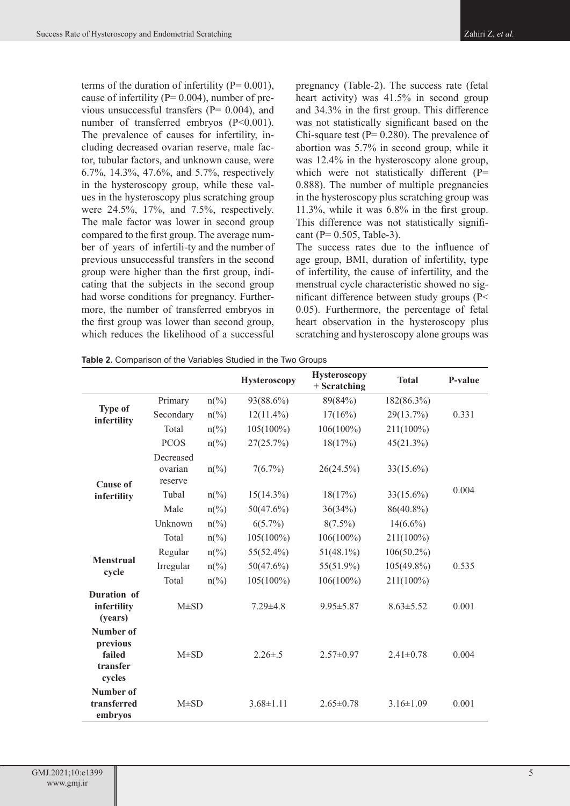terms of the duration of infertility  $(P= 0.001)$ , cause of infertility ( $P= 0.004$ ), number of previous unsuccessful transfers (P= 0.004), and number of transferred embryos (P<0.001). The prevalence of causes for infertility, including decreased ovarian reserve, male factor, tubular factors, and unknown cause, were 6.7%, 14.3%, 47.6%, and 5.7%, respectively in the hysteroscopy group, while these values in the hysteroscopy plus scratching group were 24.5%, 17%, and 7.5%, respectively. The male factor was lower in second group compared to the first group. The average number of years of infertili-ty and the number of previous unsuccessful transfers in the second group were higher than the first group, indicating that the subjects in the second group had worse conditions for pregnancy. Furthermore, the number of transferred embryos in the first group was lower than second group, which reduces the likelihood of a successful

pregnancy (Table-2). The success rate (fetal heart activity) was 41.5% in second group and 34.3% in the first group. This difference was not statistically significant based on the Chi-square test ( $P= 0.280$ ). The prevalence of abortion was 5.7% in second group, while it was 12.4% in the hysteroscopy alone group, which were not statistically different (P= 0.888). The number of multiple pregnancies in the hysteroscopy plus scratching group was 11.3%, while it was 6.8% in the first group. This difference was not statistically significant (P= 0.505, Table-3).

The success rates due to the influence of age group, BMI, duration of infertility, type of infertility, the cause of infertility, and the menstrual cycle characteristic showed no significant difference between study groups (P< 0.05). Furthermore, the percentage of fetal heart observation in the hysteroscopy plus scratching and hysteroscopy alone groups was

|                                                       |                                                                    |                                                                                                                                                                                                                                                                                                                                                     | <b>Hysteroscopy</b> | <b>Hysteroscopy</b><br>$+$ Scratching | <b>Total</b>    | P-value |
|-------------------------------------------------------|--------------------------------------------------------------------|-----------------------------------------------------------------------------------------------------------------------------------------------------------------------------------------------------------------------------------------------------------------------------------------------------------------------------------------------------|---------------------|---------------------------------------|-----------------|---------|
|                                                       | Primary                                                            | $n\frac{\omega}{\omega}$                                                                                                                                                                                                                                                                                                                            | 93(88.6%)           | 89(84%)                               | 182(86.3%)      |         |
| <b>Type of</b><br>infertility                         | Secondary                                                          | $n\frac{\omega}{\omega}$                                                                                                                                                                                                                                                                                                                            | $12(11.4\%)$        | 17(16%)                               | $29(13.7\%)$    | 0.331   |
|                                                       | Total                                                              | $n\frac{\omega}{\omega}$                                                                                                                                                                                                                                                                                                                            | $105(100\%)$        | $106(100\%)$                          | 211(100%)       |         |
|                                                       | <b>PCOS</b>                                                        | $n\binom{0}{0}$                                                                                                                                                                                                                                                                                                                                     | 27(25.7%)           | 18(17%)                               | 45(21.3%)       |         |
|                                                       | Decreased<br>$n\left(\frac{0}{0}\right)$<br>ovarian                |                                                                                                                                                                                                                                                                                                                                                     | 7(6.7%)             | 26(24.5%)                             | $33(15.6\%)$    |         |
| infertility                                           | Tubal                                                              | $n\frac{\omega}{\omega}$                                                                                                                                                                                                                                                                                                                            | $15(14.3\%)$        | 18(17%)                               | $33(15.6\%)$    | 0.004   |
|                                                       | Male                                                               | $n\left(\frac{0}{0}\right)$                                                                                                                                                                                                                                                                                                                         | 50(47.6%)           | 36(34%)                               | 86(40.8%)       |         |
|                                                       | Unknown                                                            | $n\frac{\omega}{\omega}$                                                                                                                                                                                                                                                                                                                            | $6(5.7\%)$          | $8(7.5\%)$                            | $14(6.6\%)$     |         |
|                                                       | Total                                                              | $n\frac{\omega}{\omega}$<br>$105(100\%)$<br>$106(100\%)$<br>$55(52.4\%)$<br>$51(48.1\%)$<br>$n\frac{\omega}{\omega}$<br>50(47.6%)<br>55(51.9%)<br>$n\frac{\omega}{\omega}$<br>$105(100\%)$<br>$106(100\%)$<br>$n\frac{\omega}{\omega}$<br>$7.29 \pm 4.8$<br>$9.95 \pm 5.87$<br>$2.26 \pm .5$<br>$2.57\pm0.97$<br>$3.68 \pm 1.11$<br>$2.65 \pm 0.78$ | 211(100%)           |                                       |                 |         |
|                                                       | Regular                                                            |                                                                                                                                                                                                                                                                                                                                                     |                     |                                       | $106(50.2\%)$   |         |
|                                                       | Irregular                                                          |                                                                                                                                                                                                                                                                                                                                                     |                     |                                       | $105(49.8\%)$   | 0.535   |
|                                                       | Total                                                              |                                                                                                                                                                                                                                                                                                                                                     |                     |                                       | 211(100%)       |         |
| Duration of<br>infertility<br>(years)                 | $M\pm SD$<br>$M\pm SD$                                             |                                                                                                                                                                                                                                                                                                                                                     |                     |                                       | $8.63 \pm 5.52$ | 0.001   |
| Number of<br>previous<br>failed<br>transfer<br>cycles | reserve<br><b>Cause of</b><br><b>Menstrual</b><br>cycle<br>embryos |                                                                                                                                                                                                                                                                                                                                                     |                     |                                       | $2.41 \pm 0.78$ | 0.004   |
| Number of<br>transferred                              | $M\pm SD$                                                          |                                                                                                                                                                                                                                                                                                                                                     |                     |                                       | $3.16 \pm 1.09$ | 0.001   |

|  |  | Table 2. Comparison of the Variables Studied in the Two Groups |  |  |
|--|--|----------------------------------------------------------------|--|--|
|  |  |                                                                |  |  |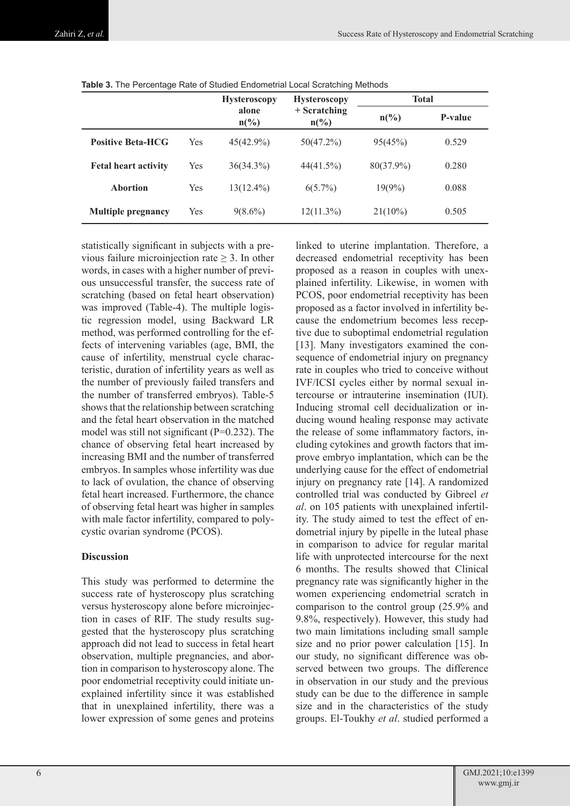|                             |     | <b>Hysteroscopy</b>      | <b>Hysteroscopy</b>             | <b>Total</b>    |         |  |
|-----------------------------|-----|--------------------------|---------------------------------|-----------------|---------|--|
|                             |     | alone<br>$n\binom{0}{0}$ | + Scratching<br>$n\binom{0}{0}$ | $n\binom{0}{0}$ | P-value |  |
| <b>Positive Beta-HCG</b>    | Yes | $45(42.9\%)$             | 50(47.2%)                       | 95(45%)         | 0.529   |  |
| <b>Fetal heart activity</b> | Yes | $36(34.3\%)$             | 44(41.5%)                       | $80(37.9\%)$    | 0.280   |  |
| <b>Abortion</b>             | Yes | $13(12.4\%)$             | $6(5.7\%)$                      | $19(9\%)$       | 0.088   |  |
| <b>Multiple pregnancy</b>   | Yes | $9(8.6\%)$               | $12(11.3\%)$                    | $21(10\%)$      | 0.505   |  |

|  |  |  |  | <b>Table 3.</b> The Percentage Rate of Studied Endometrial Local Scratching Methods |  |
|--|--|--|--|-------------------------------------------------------------------------------------|--|
|--|--|--|--|-------------------------------------------------------------------------------------|--|

statistically significant in subjects with a previous failure microinjection rate  $\geq$  3. In other words, in cases with a higher number of previous unsuccessful transfer, the success rate of scratching (based on fetal heart observation) was improved (Table-4). The multiple logistic regression model, using Backward LR method, was performed controlling for the effects of intervening variables (age, BMI, the cause of infertility, menstrual cycle characteristic, duration of infertility years as well as the number of previously failed transfers and the number of transferred embryos). Table-5 shows that the relationship between scratching and the fetal heart observation in the matched model was still not significant (P=0.232). The chance of observing fetal heart increased by increasing BMI and the number of transferred embryos. In samples whose infertility was due to lack of ovulation, the chance of observing fetal heart increased. Furthermore, the chance of observing fetal heart was higher in samples with male factor infertility, compared to polycystic ovarian syndrome (PCOS).

# **Discussion**

This study was performed to determine the success rate of hysteroscopy plus scratching versus hysteroscopy alone before microinjection in cases of RIF. The study results suggested that the hysteroscopy plus scratching approach did not lead to success in fetal heart observation, multiple pregnancies, and abortion in comparison to hysteroscopy alone. The poor endometrial receptivity could initiate unexplained infertility since it was established that in unexplained infertility, there was a lower expression of some genes and proteins

linked to uterine implantation. Therefore, a decreased endometrial receptivity has been proposed as a reason in couples with unexplained infertility. Likewise, in women with PCOS, poor endometrial receptivity has been proposed as a factor involved in infertility because the endometrium becomes less receptive due to suboptimal endometrial regulation [13]. Many investigators examined the consequence of endometrial injury on pregnancy rate in couples who tried to conceive without IVF/ICSI cycles either by normal sexual intercourse or intrauterine insemination (IUI). Inducing stromal cell decidualization or inducing wound healing response may activate the release of some inflammatory factors, including cytokines and growth factors that improve embryo implantation, which can be the underlying cause for the effect of endometrial injury on pregnancy rate [14]. A randomized controlled trial was conducted by Gibreel *et al*. on 105 patients with unexplained infertility. The study aimed to test the effect of endometrial injury by pipelle in the luteal phase in comparison to advice for regular marital life with unprotected intercourse for the next 6 months. The results showed that Clinical pregnancy rate was significantly higher in the women experiencing endometrial scratch in comparison to the control group (25.9% and 9.8%, respectively). However, this study had two main limitations including small sample size and no prior power calculation [15]. In our study, no significant difference was observed between two groups. The difference in observation in our study and the previous study can be due to the difference in sample size and in the characteristics of the study groups. El-Toukhy *et al*. studied performed a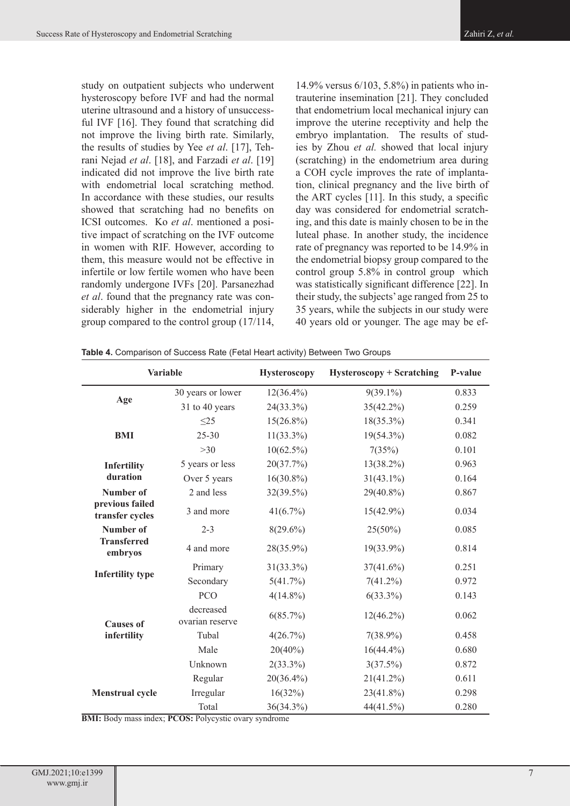study on outpatient subjects who underwent hysteroscopy before IVF and had the normal uterine ultrasound and a history of unsuccessful IVF [16]. They found that scratching did not improve the living birth rate. Similarly, the results of studies by Yee *et al*. [17], Tehrani Nejad *et al*. [18], and Farzadi *et al*. [19] indicated did not improve the live birth rate with endometrial local scratching method. In accordance with these studies, our results showed that scratching had no benefits on ICSI outcomes. Ko *et al*. mentioned a positive impact of scratching on the IVF outcome in women with RIF. However, according to them, this measure would not be effective in infertile or low fertile women who have been randomly undergone IVFs [20]. Parsanezhad *et al*. found that the pregnancy rate was considerably higher in the endometrial injury group compared to the control group (17/114,

14.9% versus 6/103, 5.8%) in patients who intrauterine insemination [21]. They concluded that endometrium local mechanical injury can improve the uterine receptivity and help the embryo implantation. The results of studies by Zhou *et al.* showed that local injury (scratching) in the endometrium area during a COH cycle improves the rate of implantation, clinical pregnancy and the live birth of the ART cycles [11]. In this study, a specific day was considered for endometrial scratching, and this date is mainly chosen to be in the luteal phase. In another study, the incidence rate of pregnancy was reported to be 14.9% in the endometrial biopsy group compared to the control group 5.8% in control group which was statistically significant difference [22]. In their study, the subjects' age ranged from 25 to 35 years, while the subjects in our study were 40 years old or younger. The age may be ef-

| <b>Variable</b>                                                                                                                                                                                             |                              | <b>Hysteroscopy</b> | <b>Hysteroscopy + Scratching</b> | P-value |
|-------------------------------------------------------------------------------------------------------------------------------------------------------------------------------------------------------------|------------------------------|---------------------|----------------------------------|---------|
|                                                                                                                                                                                                             | 30 years or lower            | $12(36.4\%)$        | $9(39.1\%)$                      | 0.833   |
| Age<br><b>BMI</b><br>Infertility<br>duration<br>Number of<br>previous failed<br>transfer cycles<br>Number of<br><b>Transferred</b><br>embryos<br><b>Infertility type</b><br><b>Causes of</b><br>infertility | 31 to 40 years               | 24(33.3%)           | $35(42.2\%)$                     | 0.259   |
|                                                                                                                                                                                                             | $\leq$ 25                    | $15(26.8\%)$        | $18(35.3\%)$                     | 0.341   |
|                                                                                                                                                                                                             | $25 - 30$                    | $11(33.3\%)$        | $19(54.3\%)$                     | 0.082   |
|                                                                                                                                                                                                             | $>30$                        | $10(62.5\%)$        | 7(35%)                           | 0.101   |
|                                                                                                                                                                                                             | 5 years or less              | 20(37.7%)           | $13(38.2\%)$                     | 0.963   |
|                                                                                                                                                                                                             | Over 5 years                 | $16(30.8\%)$        | $31(43.1\%)$                     | 0.164   |
|                                                                                                                                                                                                             | 2 and less                   | $32(39.5\%)$        | 29(40.8%)                        | 0.867   |
|                                                                                                                                                                                                             | 3 and more                   | 41(6.7%)            | $15(42.9\%)$                     | 0.034   |
|                                                                                                                                                                                                             | $2 - 3$                      | $8(29.6\%)$         | $25(50\%)$                       | 0.085   |
|                                                                                                                                                                                                             | 4 and more                   | 28(35.9%)           | $19(33.9\%)$                     | 0.814   |
|                                                                                                                                                                                                             | Primary                      | $31(33.3\%)$        | 37(41.6%)                        | 0.251   |
|                                                                                                                                                                                                             | Secondary                    | 5(41.7%)            | $7(41.2\%)$                      | 0.972   |
|                                                                                                                                                                                                             | <b>PCO</b>                   | $4(14.8\%)$         | $6(33.3\%)$                      | 0.143   |
|                                                                                                                                                                                                             | decreased<br>ovarian reserve | 6(85.7%)            | $12(46.2\%)$                     | 0.062   |
|                                                                                                                                                                                                             | Tubal                        | 4(26.7%)            | $7(38.9\%)$                      | 0.458   |
|                                                                                                                                                                                                             | Male                         | $20(40\%)$          | $16(44.4\%)$                     | 0.680   |
|                                                                                                                                                                                                             | Unknown                      | $2(33.3\%)$         | 3(37.5%)                         | 0.872   |
|                                                                                                                                                                                                             | Regular                      | 20(36.4%)           | 21(41.2%)                        | 0.611   |
| <b>Menstrual cycle</b>                                                                                                                                                                                      | Irregular                    | 16(32%)             | $23(41.8\%)$                     | 0.298   |
|                                                                                                                                                                                                             | Total                        | 36(34.3%)           | 44(41.5%)                        | 0.280   |

**Table 4.** Comparison of Success Rate (Fetal Heart activity) Between Two Groups

**BMI:** Body mass index; **PCOS:** Polycystic ovary syndrome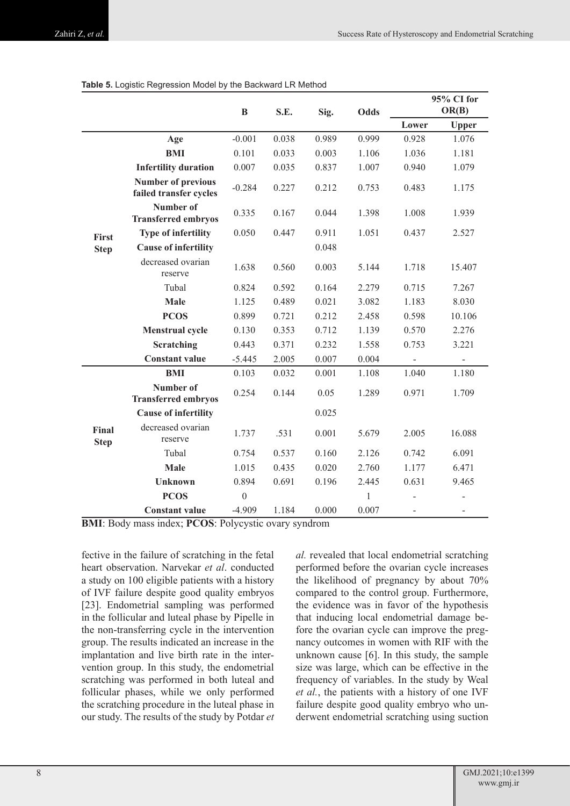|                      |                                                     | B        | S.E.  | Sig.  | Odds  | 95% CI for<br>OR(B) |              |  |
|----------------------|-----------------------------------------------------|----------|-------|-------|-------|---------------------|--------------|--|
|                      |                                                     |          |       |       |       | Lower               | <b>Upper</b> |  |
|                      | Age                                                 | $-0.001$ | 0.038 | 0.989 | 0.999 | 0.928               | 1.076        |  |
|                      | <b>BMI</b>                                          | 0.101    | 0.033 | 0.003 | 1.106 | 1.036               | 1.181        |  |
|                      | <b>Infertility duration</b>                         | 0.007    | 0.035 | 0.837 | 1.007 | 0.940               | 1.079        |  |
|                      | <b>Number of previous</b><br>failed transfer cycles | $-0.284$ | 0.227 | 0.212 | 0.753 | 0.483               | 1.175        |  |
|                      | Number of<br><b>Transferred embryos</b>             | 0.335    | 0.167 | 0.044 | 1.398 | 1.008               | 1.939        |  |
| First                | <b>Type of infertility</b>                          | 0.050    | 0.447 | 0.911 | 1.051 | 0.437               | 2.527        |  |
| <b>Step</b>          | <b>Cause of infertility</b>                         |          |       | 0.048 |       |                     |              |  |
|                      | decreased ovarian<br>reserve                        | 1.638    | 0.560 | 0.003 | 5.144 | 1.718               | 15.407       |  |
|                      | Tubal                                               | 0.824    | 0.592 | 0.164 | 2.279 | 0.715               | 7.267        |  |
|                      | <b>Male</b>                                         | 1.125    | 0.489 | 0.021 | 3.082 | 1.183               | 8.030        |  |
|                      | <b>PCOS</b>                                         | 0.899    | 0.721 | 0.212 | 2.458 | 0.598               | 10.106       |  |
|                      | <b>Menstrual cycle</b>                              | 0.130    | 0.353 | 0.712 | 1.139 | 0.570               | 2.276        |  |
|                      | Scratching                                          | 0.443    | 0.371 | 0.232 | 1.558 | 0.753               | 3.221        |  |
|                      | <b>Constant value</b>                               | $-5.445$ | 2.005 | 0.007 | 0.004 |                     |              |  |
|                      | <b>BMI</b>                                          | 0.103    | 0.032 | 0.001 | 1.108 | 1.040               | 1.180        |  |
|                      | Number of<br><b>Transferred embryos</b>             | 0.254    | 0.144 | 0.05  | 1.289 | 0.971               | 1.709        |  |
|                      | <b>Cause of infertility</b>                         |          |       | 0.025 |       |                     |              |  |
| Final<br><b>Step</b> | decreased ovarian<br>reserve                        | 1.737    | .531  | 0.001 | 5.679 | 2.005               | 16.088       |  |
|                      | Tubal                                               | 0.754    | 0.537 | 0.160 | 2.126 | 0.742               | 6.091        |  |
|                      | Male                                                | 1.015    | 0.435 | 0.020 | 2.760 | 1.177               | 6.471        |  |
|                      | <b>Unknown</b>                                      | 0.894    | 0.691 | 0.196 | 2.445 | 0.631               | 9.465        |  |
|                      | <b>PCOS</b>                                         | $\theta$ |       |       | 1     |                     |              |  |
|                      | <b>Constant value</b>                               | $-4.909$ | 1.184 | 0.000 | 0.007 |                     |              |  |

**BMI**: Body mass index; **PCOS**: Polycystic ovary syndrom

fective in the failure of scratching in the fetal heart observation. Narvekar *et al*. conducted a study on 100 eligible patients with a history of IVF failure despite good quality embryos [23]. Endometrial sampling was performed in the follicular and luteal phase by Pipelle in the non-transferring cycle in the intervention group. The results indicated an increase in the implantation and live birth rate in the intervention group. In this study, the endometrial scratching was performed in both luteal and follicular phases, while we only performed the scratching procedure in the luteal phase in our study. The results of the study by Potdar *et* 

*al.* revealed that local endometrial scratching performed before the ovarian cycle increases the likelihood of pregnancy by about 70% compared to the control group. Furthermore, the evidence was in favor of the hypothesis that inducing local endometrial damage before the ovarian cycle can improve the pregnancy outcomes in women with RIF with the unknown cause [6]. In this study, the sample size was large, which can be effective in the frequency of variables. In the study by Weal *et al.*, the patients with a history of one IVF failure despite good quality embryo who underwent endometrial scratching using suction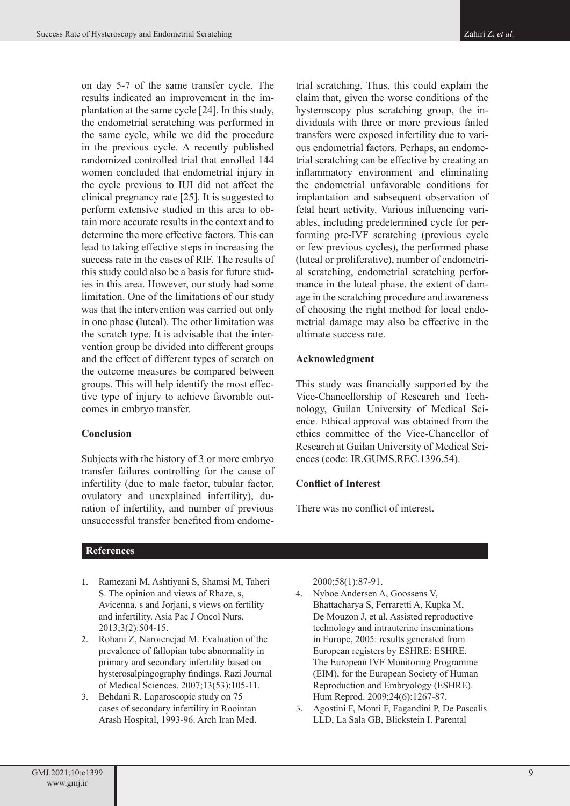on day 5-7 of the same transfer cycle. The results indicated an improvement in the implantation at the same cycle [24]. In this study, the endometrial scratching was performed in the same cycle, while we did the procedure in the previous cycle. A recently published randomized controlled trial that enrolled 144 women concluded that endometrial injury in the cycle previous to IUI did not affect the clinical pregnancy rate [25]. It is suggested to perform extensive studied in this area to obtain more accurate results in the context and to determine the more effective factors. This can lead to taking effective steps in increasing the success rate in the cases of RIF. The results of this study could also be a basis for future studies in this area. However, our study had some limitation. One of the limitations of our study was that the intervention was carried out only in one phase (luteal). The other limitation was the scratch type. It is advisable that the intervention group be divided into different groups and the effect of different types of scratch on the outcome measures be compared between groups. This will help identify the most effective type of injury to achieve favorable outcomes in embryo transfer.

#### **Conclusion**

Subjects with the history of 3 or more embryo transfer failures controlling for the cause of infertility (due to male factor, tubular factor, ovulatory and unexplained infertility), duration of infertility, and number of previous unsuccessful transfer benefited from endometrial scratching. Thus, this could explain the claim that, given the worse conditions of the hysteroscopy plus scratching group, the individuals with three or more previous failed transfers were exposed infertility due to various endometrial factors. Perhaps, an endometrial scratching can be effective by creating an inflammatory environment and eliminating the endometrial unfavorable conditions for implantation and subsequent observation of fetal heart activity. Various influencing variables, including predetermined cycle for performing pre-IVF scratching (previous cycle or few previous cycles), the performed phase (luteal or proliferative), number of endometrial scratching, endometrial scratching performance in the luteal phase, the extent of damage in the scratching procedure and awareness of choosing the right method for local endometrial damage may also be effective in the ultimate success rate.

#### **Acknowledgment**

This study was financially supported by the Vice-Chancellorship of Research and Technology, Guilan University of Medical Science. Ethical approval was obtained from the ethics committee of the Vice-Chancellor of Research at Guilan University of Medical Sciences (code: IR.GUMS.REC.1396.54).

### **Conflict of Interest**

There was no conflict of interest.

### **References**

- 1. Ramezani M, Ashtiyani S, Shamsi M, Taheri S. The opinion and views of Rhaze, s, Avicenna, s and Jorjani, s views on fertility and infertility. Asia Pac J Oncol Nurs. 2013;3(2):504-15.
- 2. Rohani Z, Naroienejad M. Evaluation of the prevalence of fallopian tube abnormality in primary and secondary infertility based on hysterosalpingography findings. Razi Journal of Medical Sciences. 2007;13(53):105-11.
- 3. Behdani R. Laparoscopic study on 75 cases of secondary infertility in Roointan Arash Hospital, 1993-96. Arch Iran Med.

2000;58(1):87-91.

- 4. Nyboe Andersen A, Goossens V, Bhattacharya S, Ferraretti A, Kupka M, De Mouzon J, et al. Assisted reproductive technology and intrauterine inseminations in Europe, 2005: results generated from European registers by ESHRE: ESHRE. The European IVF Monitoring Programme (EIM), for the European Society of Human Reproduction and Embryology (ESHRE). Hum Reprod. 2009;24(6):1267-87.
- 5. Agostini F, Monti F, Fagandini P, De Pascalis LLD, La Sala GB, Blickstein I. Parental